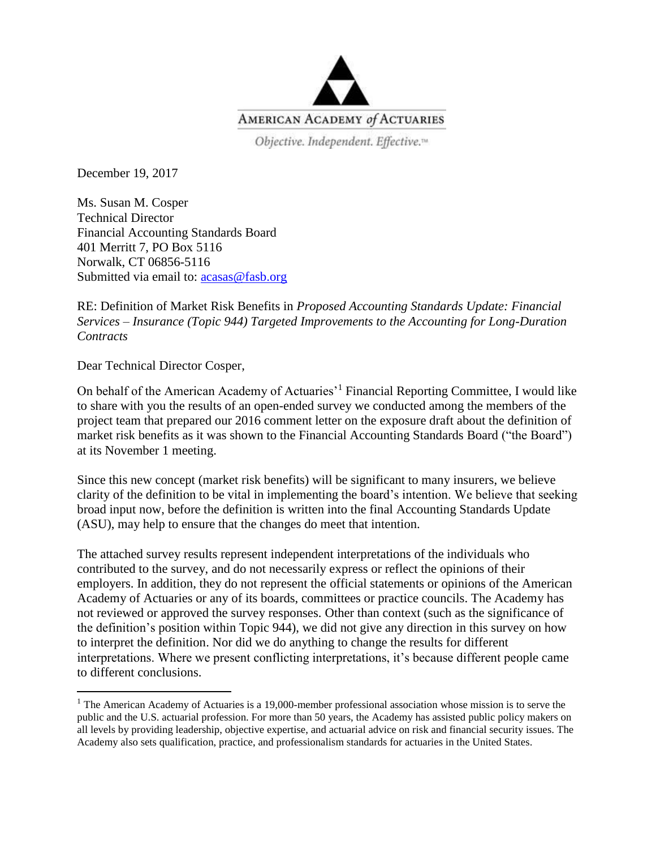

Objective. Independent. Effective.<sup>14</sup>

December 19, 2017

Ms. Susan M. Cosper Technical Director Financial Accounting Standards Board 401 Merritt 7, PO Box 5116 Norwalk, CT 06856-5116 Submitted via email to: [acasas@fasb.org](mailto:acasas@fasb.org)

RE: Definition of Market Risk Benefits in *Proposed Accounting Standards Update: Financial Services – Insurance (Topic 944) Targeted Improvements to the Accounting for Long-Duration Contracts*

Dear Technical Director Cosper,

l

On behalf of the American Academy of Actuaries'<sup>1</sup> Financial Reporting Committee, I would like to share with you the results of an open-ended survey we conducted among the members of the project team that prepared our 2016 comment letter on the exposure draft about the definition of market risk benefits as it was shown to the Financial Accounting Standards Board ("the Board") at its November 1 meeting.

Since this new concept (market risk benefits) will be significant to many insurers, we believe clarity of the definition to be vital in implementing the board's intention. We believe that seeking broad input now, before the definition is written into the final Accounting Standards Update (ASU), may help to ensure that the changes do meet that intention.

The attached survey results represent independent interpretations of the individuals who contributed to the survey, and do not necessarily express or reflect the opinions of their employers. In addition, they do not represent the official statements or opinions of the American Academy of Actuaries or any of its boards, committees or practice councils. The Academy has not reviewed or approved the survey responses. Other than context (such as the significance of the definition's position within Topic 944), we did not give any direction in this survey on how to interpret the definition. Nor did we do anything to change the results for different interpretations. Where we present conflicting interpretations, it's because different people came to different conclusions.

<sup>&</sup>lt;sup>1</sup> The American Academy of Actuaries is a 19,000-member professional association whose mission is to serve the public and the U.S. actuarial profession. For more than 50 years, the Academy has assisted public policy makers on all levels by providing leadership, objective expertise, and actuarial advice on risk and financial security issues. The Academy also sets qualification, practice, and professionalism standards for actuaries in the United States.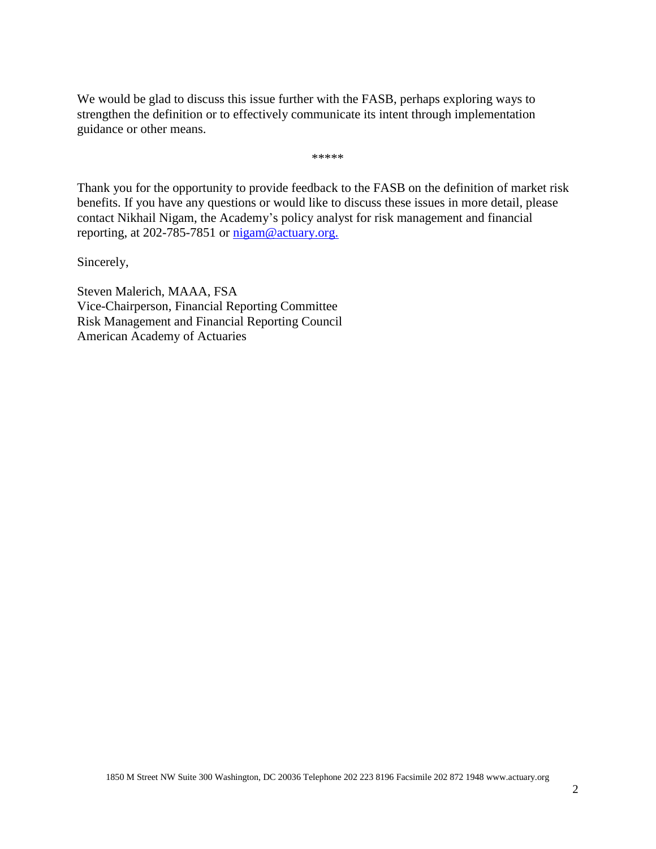We would be glad to discuss this issue further with the FASB, perhaps exploring ways to strengthen the definition or to effectively communicate its intent through implementation guidance or other means.

\*\*\*\*\*

Thank you for the opportunity to provide feedback to the FASB on the definition of market risk benefits. If you have any questions or would like to discuss these issues in more detail, please contact Nikhail Nigam, the Academy's policy analyst for risk management and financial reporting, at 202-785-7851 or [nigam@actuary.org.](mailto:nigam@actuary.org)

Sincerely,

Steven Malerich, MAAA, FSA Vice-Chairperson, Financial Reporting Committee Risk Management and Financial Reporting Council American Academy of Actuaries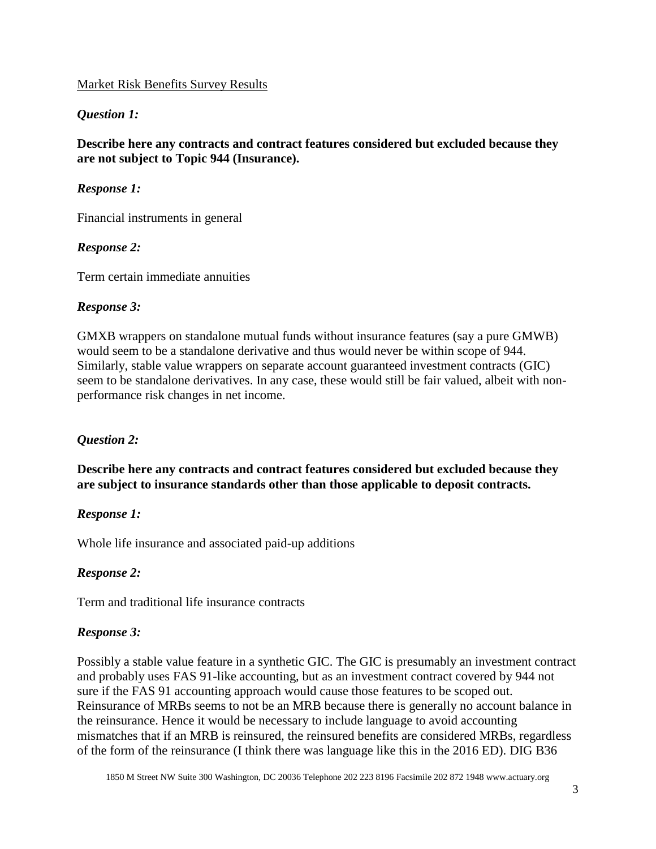#### Market Risk Benefits Survey Results

### *Question 1:*

**Describe here any contracts and contract features considered but excluded because they are not subject to Topic 944 (Insurance).**

#### *Response 1:*

Financial instruments in general

### *Response 2:*

Term certain immediate annuities

#### *Response 3:*

GMXB wrappers on standalone mutual funds without insurance features (say a pure GMWB) would seem to be a standalone derivative and thus would never be within scope of 944. Similarly, stable value wrappers on separate account guaranteed investment contracts (GIC) seem to be standalone derivatives. In any case, these would still be fair valued, albeit with nonperformance risk changes in net income.

#### *Question 2:*

**Describe here any contracts and contract features considered but excluded because they are subject to insurance standards other than those applicable to deposit contracts.**

#### *Response 1:*

Whole life insurance and associated paid-up additions

#### *Response 2:*

Term and traditional life insurance contracts

#### *Response 3:*

Possibly a stable value feature in a synthetic GIC. The GIC is presumably an investment contract and probably uses FAS 91-like accounting, but as an investment contract covered by 944 not sure if the FAS 91 accounting approach would cause those features to be scoped out. Reinsurance of MRBs seems to not be an MRB because there is generally no account balance in the reinsurance. Hence it would be necessary to include language to avoid accounting mismatches that if an MRB is reinsured, the reinsured benefits are considered MRBs, regardless of the form of the reinsurance (I think there was language like this in the 2016 ED). DIG B36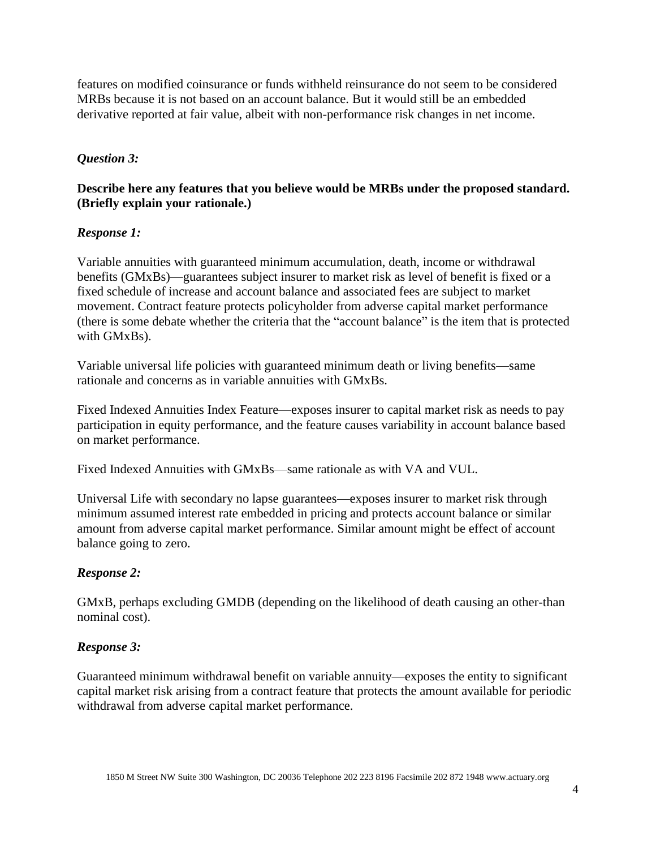features on modified coinsurance or funds withheld reinsurance do not seem to be considered MRBs because it is not based on an account balance. But it would still be an embedded derivative reported at fair value, albeit with non-performance risk changes in net income.

### *Question 3:*

### **Describe here any features that you believe would be MRBs under the proposed standard. (Briefly explain your rationale.)**

#### *Response 1:*

Variable annuities with guaranteed minimum accumulation, death, income or withdrawal benefits (GMxBs)—guarantees subject insurer to market risk as level of benefit is fixed or a fixed schedule of increase and account balance and associated fees are subject to market movement. Contract feature protects policyholder from adverse capital market performance (there is some debate whether the criteria that the "account balance" is the item that is protected with GMxBs).

Variable universal life policies with guaranteed minimum death or living benefits—same rationale and concerns as in variable annuities with GMxBs.

Fixed Indexed Annuities Index Feature—exposes insurer to capital market risk as needs to pay participation in equity performance, and the feature causes variability in account balance based on market performance.

Fixed Indexed Annuities with GMxBs—same rationale as with VA and VUL.

Universal Life with secondary no lapse guarantees—exposes insurer to market risk through minimum assumed interest rate embedded in pricing and protects account balance or similar amount from adverse capital market performance. Similar amount might be effect of account balance going to zero.

#### *Response 2:*

GMxB, perhaps excluding GMDB (depending on the likelihood of death causing an other-than nominal cost).

#### *Response 3:*

Guaranteed minimum withdrawal benefit on variable annuity—exposes the entity to significant capital market risk arising from a contract feature that protects the amount available for periodic withdrawal from adverse capital market performance.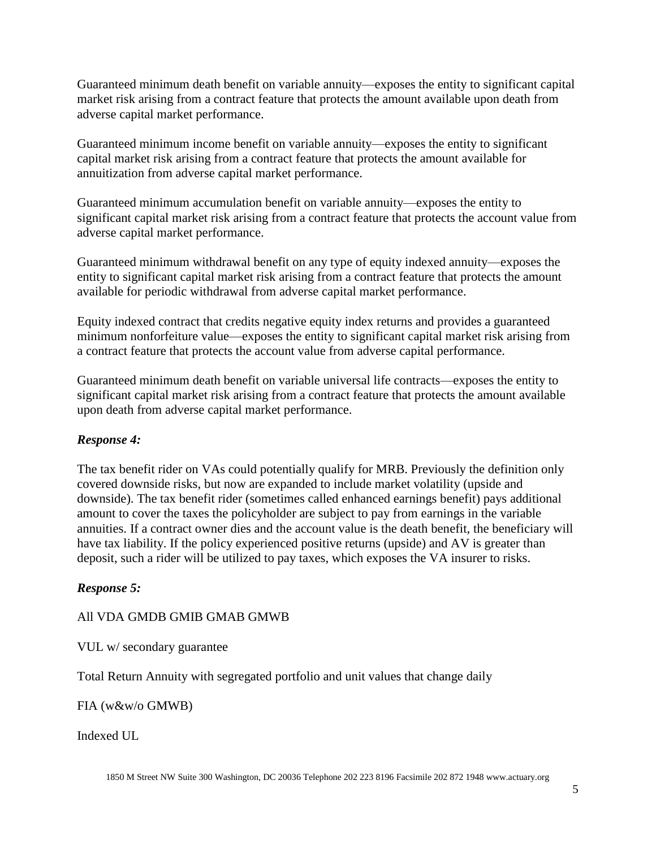Guaranteed minimum death benefit on variable annuity—exposes the entity to significant capital market risk arising from a contract feature that protects the amount available upon death from adverse capital market performance.

Guaranteed minimum income benefit on variable annuity—exposes the entity to significant capital market risk arising from a contract feature that protects the amount available for annuitization from adverse capital market performance.

Guaranteed minimum accumulation benefit on variable annuity—exposes the entity to significant capital market risk arising from a contract feature that protects the account value from adverse capital market performance.

Guaranteed minimum withdrawal benefit on any type of equity indexed annuity—exposes the entity to significant capital market risk arising from a contract feature that protects the amount available for periodic withdrawal from adverse capital market performance.

Equity indexed contract that credits negative equity index returns and provides a guaranteed minimum nonforfeiture value—exposes the entity to significant capital market risk arising from a contract feature that protects the account value from adverse capital performance.

Guaranteed minimum death benefit on variable universal life contracts—exposes the entity to significant capital market risk arising from a contract feature that protects the amount available upon death from adverse capital market performance.

#### *Response 4:*

The tax benefit rider on VAs could potentially qualify for MRB. Previously the definition only covered downside risks, but now are expanded to include market volatility (upside and downside). The tax benefit rider (sometimes called enhanced earnings benefit) pays additional amount to cover the taxes the policyholder are subject to pay from earnings in the variable annuities. If a contract owner dies and the account value is the death benefit, the beneficiary will have tax liability. If the policy experienced positive returns (upside) and AV is greater than deposit, such a rider will be utilized to pay taxes, which exposes the VA insurer to risks.

#### *Response 5:*

#### All VDA GMDB GMIB GMAB GMWB

VUL w/ secondary guarantee

Total Return Annuity with segregated portfolio and unit values that change daily

FIA (w&w/o GMWB)

Indexed UL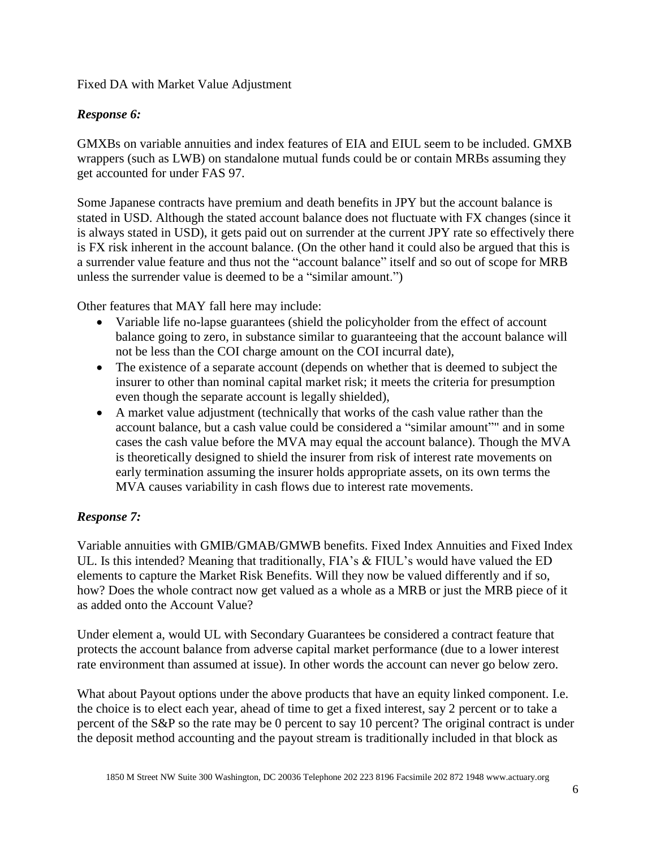#### Fixed DA with Market Value Adjustment

### *Response 6:*

GMXBs on variable annuities and index features of EIA and EIUL seem to be included. GMXB wrappers (such as LWB) on standalone mutual funds could be or contain MRBs assuming they get accounted for under FAS 97.

Some Japanese contracts have premium and death benefits in JPY but the account balance is stated in USD. Although the stated account balance does not fluctuate with FX changes (since it is always stated in USD), it gets paid out on surrender at the current JPY rate so effectively there is FX risk inherent in the account balance. (On the other hand it could also be argued that this is a surrender value feature and thus not the "account balance" itself and so out of scope for MRB unless the surrender value is deemed to be a "similar amount.")

Other features that MAY fall here may include:

- Variable life no-lapse guarantees (shield the policyholder from the effect of account balance going to zero, in substance similar to guaranteeing that the account balance will not be less than the COI charge amount on the COI incurral date),
- The existence of a separate account (depends on whether that is deemed to subject the insurer to other than nominal capital market risk; it meets the criteria for presumption even though the separate account is legally shielded),
- A market value adjustment (technically that works of the cash value rather than the account balance, but a cash value could be considered a "similar amount"" and in some cases the cash value before the MVA may equal the account balance). Though the MVA is theoretically designed to shield the insurer from risk of interest rate movements on early termination assuming the insurer holds appropriate assets, on its own terms the MVA causes variability in cash flows due to interest rate movements.

## *Response 7:*

Variable annuities with GMIB/GMAB/GMWB benefits. Fixed Index Annuities and Fixed Index UL. Is this intended? Meaning that traditionally, FIA's & FIUL's would have valued the ED elements to capture the Market Risk Benefits. Will they now be valued differently and if so, how? Does the whole contract now get valued as a whole as a MRB or just the MRB piece of it as added onto the Account Value?

Under element a, would UL with Secondary Guarantees be considered a contract feature that protects the account balance from adverse capital market performance (due to a lower interest rate environment than assumed at issue). In other words the account can never go below zero.

What about Payout options under the above products that have an equity linked component. I.e. the choice is to elect each year, ahead of time to get a fixed interest, say 2 percent or to take a percent of the S&P so the rate may be 0 percent to say 10 percent? The original contract is under the deposit method accounting and the payout stream is traditionally included in that block as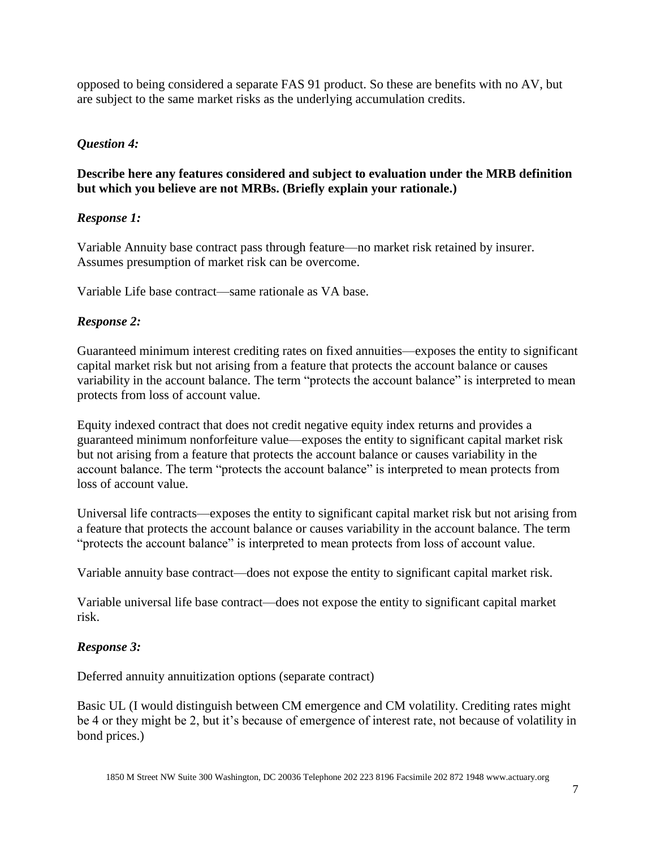opposed to being considered a separate FAS 91 product. So these are benefits with no AV, but are subject to the same market risks as the underlying accumulation credits.

## *Question 4:*

## **Describe here any features considered and subject to evaluation under the MRB definition but which you believe are not MRBs. (Briefly explain your rationale.)**

# *Response 1:*

Variable Annuity base contract pass through feature—no market risk retained by insurer. Assumes presumption of market risk can be overcome.

Variable Life base contract—same rationale as VA base.

# *Response 2:*

Guaranteed minimum interest crediting rates on fixed annuities—exposes the entity to significant capital market risk but not arising from a feature that protects the account balance or causes variability in the account balance. The term "protects the account balance" is interpreted to mean protects from loss of account value.

Equity indexed contract that does not credit negative equity index returns and provides a guaranteed minimum nonforfeiture value—exposes the entity to significant capital market risk but not arising from a feature that protects the account balance or causes variability in the account balance. The term "protects the account balance" is interpreted to mean protects from loss of account value.

Universal life contracts—exposes the entity to significant capital market risk but not arising from a feature that protects the account balance or causes variability in the account balance. The term "protects the account balance" is interpreted to mean protects from loss of account value.

Variable annuity base contract—does not expose the entity to significant capital market risk.

Variable universal life base contract—does not expose the entity to significant capital market risk.

# *Response 3:*

Deferred annuity annuitization options (separate contract)

Basic UL (I would distinguish between CM emergence and CM volatility. Crediting rates might be 4 or they might be 2, but it's because of emergence of interest rate, not because of volatility in bond prices.)